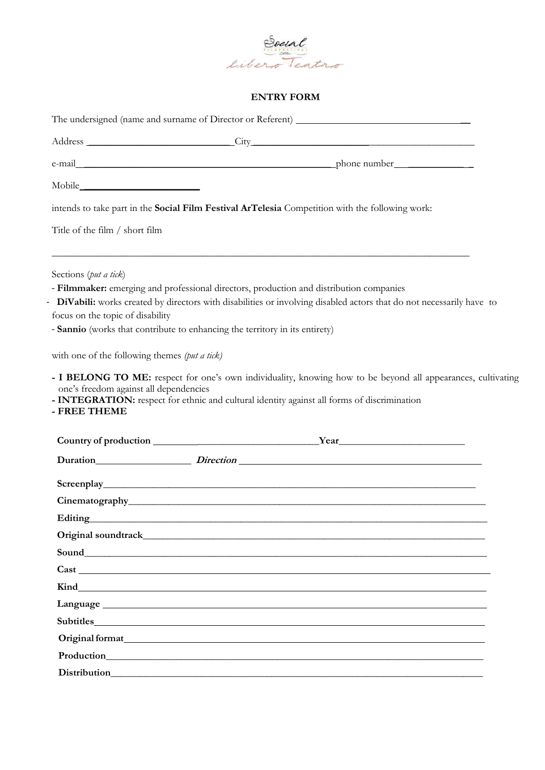

## **ENTRY FORM**

|                                               | intends to take part in the <b>Social Film Festival ArTelesia</b> Competition with the following work:                |
|-----------------------------------------------|-----------------------------------------------------------------------------------------------------------------------|
| Title of the film / short film                |                                                                                                                       |
| Sections (put a tick)                         |                                                                                                                       |
|                                               | - Filmmaker: emerging and professional directors, production and distribution companies                               |
|                                               | - DiVabili: works created by directors with disabilities or involving disabled actors that do not necessarily have to |
| focus on the topic of disability              |                                                                                                                       |
|                                               | - Sannio (works that contribute to enhancing the territory in its entirety)                                           |
| with one of the following themes (put a tick) |                                                                                                                       |
| - FREE THEME                                  | - INTEGRATION: respect for ethnic and cultural identity against all forms of discrimination                           |
|                                               |                                                                                                                       |
|                                               |                                                                                                                       |
|                                               |                                                                                                                       |
|                                               |                                                                                                                       |
|                                               |                                                                                                                       |
| Editing                                       |                                                                                                                       |
|                                               | <b>Original soundtrack</b>                                                                                            |
|                                               |                                                                                                                       |
|                                               |                                                                                                                       |
|                                               |                                                                                                                       |
|                                               |                                                                                                                       |
|                                               |                                                                                                                       |
|                                               | Original format                                                                                                       |
|                                               | Production Production                                                                                                 |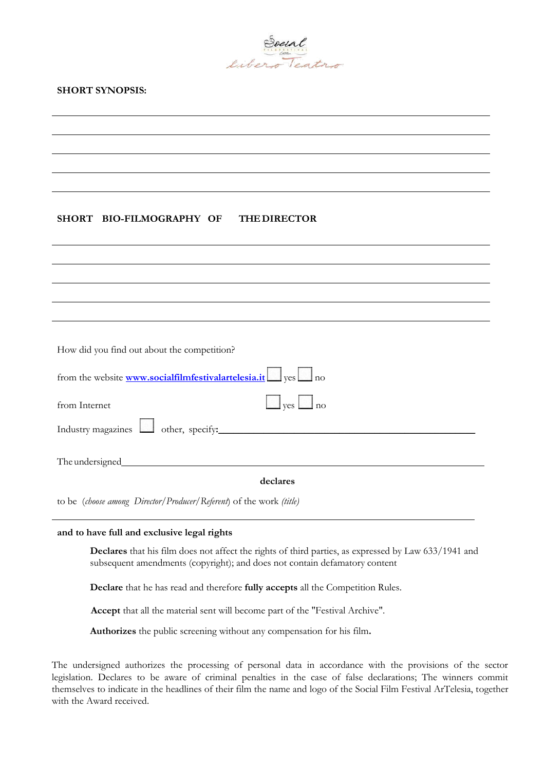

## **SHORT SYNOPSIS:**

## **SHORT BIO-FILMOGRAPHY OF THE DIRECTOR**

| How did you find out about the competition?                            |  |  |
|------------------------------------------------------------------------|--|--|
| from the website <b>www.socialfilmfestivalartelesia.it</b> ves only no |  |  |
| $\Box$ yes $\Box$ no<br>from Internet                                  |  |  |
| Industry magazines other, specify:                                     |  |  |
|                                                                        |  |  |
| declares                                                               |  |  |
| to be (choose among Director/Producer/Referent) of the work (title)    |  |  |

## **and to have full and exclusive legal rights**

**Declares** that his film does not affect the rights of third parties, as expressed by Law 633/1941 and subsequent amendments (copyright); and does not contain defamatory content

**Declare** that he has read and therefore **fully accepts** all the Competition Rules.

**Accept** that all the material sent will become part of the "Festival Archive".

**Authorizes** the public screening without any compensation for his film**.**

The undersigned authorizes the processing of personal data in accordance with the provisions of the sector legislation. Declares to be aware of criminal penalties in the case of false declarations; The winners commit themselves to indicate in the headlines of their film the name and logo of the Social Film Festival ArTelesia, together with the Award received.